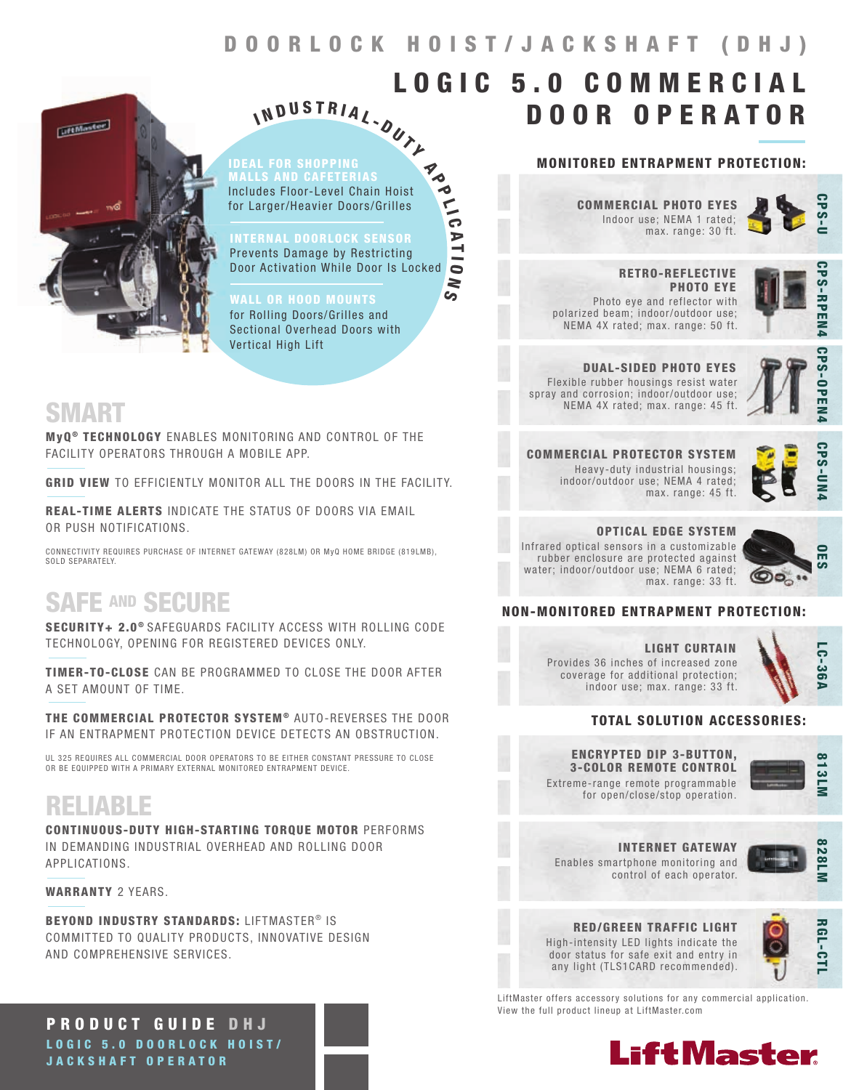$\frac{1}{10}$ 

A T I  $\bullet$ N  $\overline{\mathcal{G}}$ 



IDEAL FOR SHOPPING Includes Floor-Level Chain Hoist for Larger/Heavier Doors/Grilles N D U S T R I A L - DUTL Madr

I

INTERNAL DOORLOCK SENSOR Prevents Damage by Restricting Door Activation While Door Is Locked

WALL OR HOOD MOUNTS for Rolling Doors/Grilles and Sectional Overhead Doors with Vertical High Lift

### SMART

MyQ<sup>®</sup> TECHNOLOGY ENABLES MONITORING AND CONTROL OF THE FACILITY OPERATORS THROUGH A MOBILE APP.

GRID VIEW TO EFFICIENTLY MONITOR ALL THE DOORS IN THE FACILITY.

REAL-TIME ALERTS INDICATE THE STATUS OF DOORS VIA EMAIL OR PUSH NOTIFICATIONS.

CONNECTIVITY REQUIRES PURCHASE OF INTERNET GATEWAY (828LM) OR MyQ HOME BRIDGE (819LMB), SOLD SEPARATELY.

## SAFE AND SECURE

SECURITY+ 2.0<sup>®</sup> SAFEGUARDS FACILITY ACCESS WITH ROLLING CODE TECHNOLOGY, OPENING FOR REGISTERED DEVICES ONLY.

TIMER-TO-CLOSE CAN BE PROGRAMMED TO CLOSE THE DOOR AFTER A SET AMOUNT OF TIME.

THE COMMERCIAL PROTECTOR SYSTEM® AUTO-REVERSES THE DOOR IF AN ENTRAPMENT PROTECTION DEVICE DETECTS AN OBSTRUCTION.

UL 325 REQUIRES ALL COMMERCIAL DOOR OPERATORS TO BE EITHER CONSTANT PRESSURE TO CLOSE OR BE EQUIPPED WITH A PRIMARY EXTERNAL MONITORED ENTRAPMENT DEVICE.

## RELIABLE

CONTINUOUS-DUTY HIGH-STARTING TORQUE MOTOR PERFORMS IN DEMANDING INDUSTRIAL OVERHEAD AND ROLLING DOOR APPLICATIONS.

WARRANTY 2 YEARS.

BEYOND INDUSTRY STANDARDS: LIFTMASTER<sup>®</sup> IS COMMITTED TO QUALITY PRODUCTS, INNOVATIVE DESIGN AND COMPREHENSIVE SERVICES.

PRODUCT GUIDE DHJ LOGIC 5.0 DOORLOCK HOIST/ JACKSHAFT OPERATOR

### MONITORED ENTRAPMENT PROTECTION:

DOOR OPERATOR

Indoor use; NEMA 1 rated; max. range: 30 ft. COMMERCIAL PHOTO EYES

LOGIC 5.0 COMMERCIAL



 RETRO-REFLECTIVE PHOTO EYE Photo eye and reflector with polarized beam; indoor/outdoor use; NEMA 4X rated; max. range: 50 ft.



DUAL-SIDED PHOTO EYES Flexible rubber housings resist water spray and corrosion; indoor/outdoor use; NEMA 4X rated; max. range: 45 ft.



**CPS-OPEN** 

**CPS-UN** 

COMMERCIAL PROTECTOR SYSTEM Heavy-duty industrial housings; indoor/outdoor use; NEMA 4 rated; max. range: 45 ft.

OPTICAL EDGE SYSTEM Infrared optical sensors in a customizable rubber enclosure are protected against water; indoor/outdoor use; NEMA 6 rated;



### NON-MONITORED ENTRAPMENT PROTECTION:

LIGHT CURTAIN Provides 36 inches of increased zone coverage for additional protection; indoor use; max. range: 33 ft.



### TOTAL SOLUTION ACCESSORIES:

max. range: 33 ft.

Extreme-range remote programmable ENCRYPTED DIP 3-BUTTON, 3-COLOR REMOTE CONTROL

for open/close/stop operation.

813LN

Enables smartphone monitoring and control of each operator. INTERNET GATEWAY



RED/GREEN TRAFFIC LIGHT High-intensity LED lights indicate the door status for safe exit and entry in any light (TLS1CARD recommended).



LiftMaster offers accessory solutions for any commercial application. View the full product lineup at LiftMaster.com